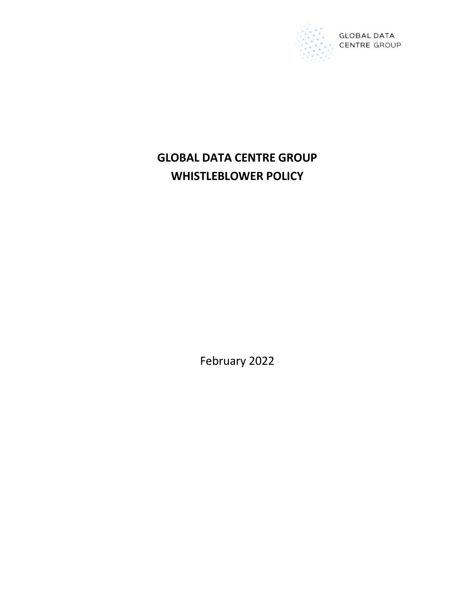

# GLOBAL DATA CENTRE GROUP WHISTLEBLOWER POLICY

February 2022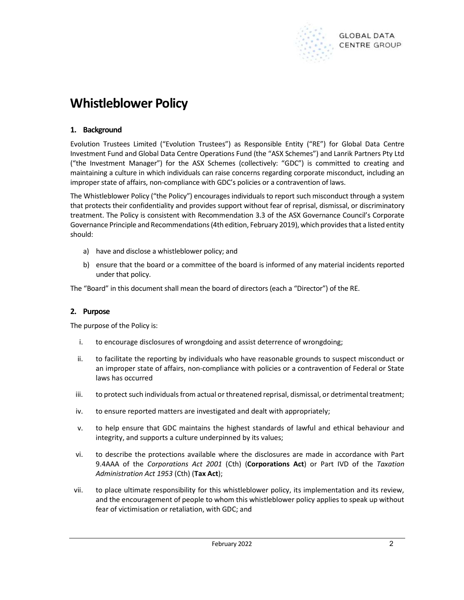

# Whistleblower Policy

# 1. Background

Evolution Trustees Limited ("Evolution Trustees") as Responsible Entity ("RE") for Global Data Centre Investment Fund and Global Data Centre Operations Fund (the "ASX Schemes") and Lanrik Partners Pty Ltd ("the Investment Manager") for the ASX Schemes (collectively: "GDC") is committed to creating and maintaining a culture in which individuals can raise concerns regarding corporate misconduct, including an improper state of affairs, non-compliance with GDC's policies or a contravention of laws.

The Whistleblower Policy ("the Policy") encourages individuals to report such misconduct through a system that protects their confidentiality and provides support without fear of reprisal, dismissal, or discriminatory treatment. The Policy is consistent with Recommendation 3.3 of the ASX Governance Council's Corporate Governance Principle and Recommendations (4th edition, February 2019), which provides that a listed entity should:

- a) have and disclose a whistleblower policy; and
- b) ensure that the board or a committee of the board is informed of any material incidents reported under that policy.

The "Board" in this document shall mean the board of directors (each a "Director") of the RE.

## 2. Purpose

The purpose of the Policy is:

- i. to encourage disclosures of wrongdoing and assist deterrence of wrongdoing;
- ii. to facilitate the reporting by individuals who have reasonable grounds to suspect misconduct or an improper state of affairs, non-compliance with policies or a contravention of Federal or State laws has occurred
- iii. to protect such individuals from actual or threatened reprisal, dismissal, or detrimental treatment;
- iv. to ensure reported matters are investigated and dealt with appropriately;
- v. to help ensure that GDC maintains the highest standards of lawful and ethical behaviour and integrity, and supports a culture underpinned by its values;
- vi. to describe the protections available where the disclosures are made in accordance with Part 9.4AAA of the Corporations Act 2001 (Cth) (Corporations Act) or Part IVD of the Taxation Administration Act 1953 (Cth) (Tax Act);
- vii. to place ultimate responsibility for this whistleblower policy, its implementation and its review, and the encouragement of people to whom this whistleblower policy applies to speak up without fear of victimisation or retaliation, with GDC; and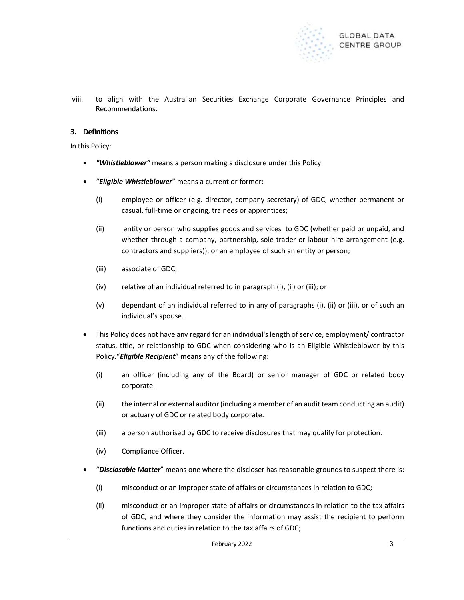

viii. to align with the Australian Securities Exchange Corporate Governance Principles and Recommendations.

## 3. Definitions

In this Policy:

- "Whistleblower" means a person making a disclosure under this Policy.
- "Eligible Whistleblower" means a current or former:
	- (i) employee or officer (e.g. director, company secretary) of GDC, whether permanent or casual, full-time or ongoing, trainees or apprentices;
	- (ii) entity or person who supplies goods and services to GDC (whether paid or unpaid, and whether through a company, partnership, sole trader or labour hire arrangement (e.g. contractors and suppliers)); or an employee of such an entity or person;
	- (iii) associate of GDC;
	- (iv) relative of an individual referred to in paragraph (i), (ii) or (iii); or
	- (v) dependant of an individual referred to in any of paragraphs (i), (ii) or (iii), or of such an individual's spouse.
- This Policy does not have any regard for an individual's length of service, employment/ contractor status, title, or relationship to GDC when considering who is an Eligible Whistleblower by this Policy. "Eligible Recipient" means any of the following:
	- (i) an officer (including any of the Board) or senior manager of GDC or related body corporate.
	- (ii) the internal or external auditor (including a member of an audit team conducting an audit) or actuary of GDC or related body corporate.
	- (iii) a person authorised by GDC to receive disclosures that may qualify for protection.
	- (iv) Compliance Officer.
- "Disclosable Matter" means one where the discloser has reasonable grounds to suspect there is:
	- (i) misconduct or an improper state of affairs or circumstances in relation to GDC;
	- (ii) misconduct or an improper state of affairs or circumstances in relation to the tax affairs of GDC, and where they consider the information may assist the recipient to perform functions and duties in relation to the tax affairs of GDC;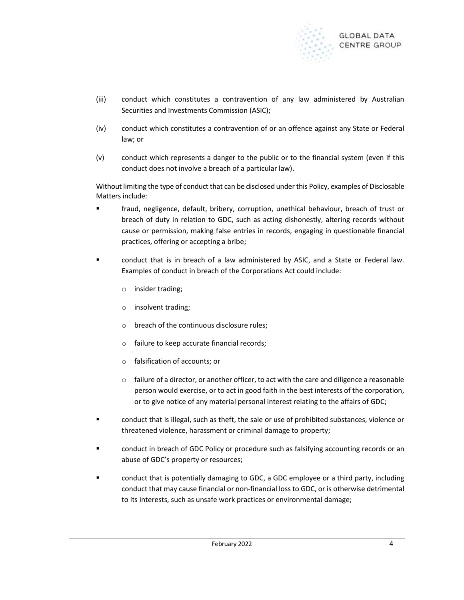

- (iii) conduct which constitutes a contravention of any law administered by Australian Securities and Investments Commission (ASIC);
- (iv) conduct which constitutes a contravention of or an offence against any State or Federal law; or
- (v) conduct which represents a danger to the public or to the financial system (even if this conduct does not involve a breach of a particular law).

Without limiting the type of conduct that can be disclosed under this Policy, examples of Disclosable Matters include:

- fraud, negligence, default, bribery, corruption, unethical behaviour, breach of trust or breach of duty in relation to GDC, such as acting dishonestly, altering records without cause or permission, making false entries in records, engaging in questionable financial practices, offering or accepting a bribe;
- conduct that is in breach of a law administered by ASIC, and a State or Federal law. Examples of conduct in breach of the Corporations Act could include:
	- o insider trading;
	- o insolvent trading;
	- o breach of the continuous disclosure rules;
	- o failure to keep accurate financial records;
	- o falsification of accounts; or
	- $\circ$  failure of a director, or another officer, to act with the care and diligence a reasonable person would exercise, or to act in good faith in the best interests of the corporation, or to give notice of any material personal interest relating to the affairs of GDC;
- conduct that is illegal, such as theft, the sale or use of prohibited substances, violence or threatened violence, harassment or criminal damage to property;
- conduct in breach of GDC Policy or procedure such as falsifying accounting records or an abuse of GDC's property or resources;
- conduct that is potentially damaging to GDC, a GDC employee or a third party, including conduct that may cause financial or non-financial loss to GDC, or is otherwise detrimental to its interests, such as unsafe work practices or environmental damage;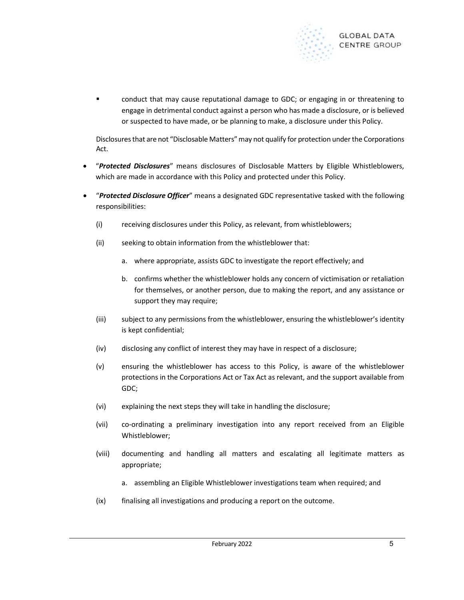

 conduct that may cause reputational damage to GDC; or engaging in or threatening to engage in detrimental conduct against a person who has made a disclosure, or is believed or suspected to have made, or be planning to make, a disclosure under this Policy.

Disclosures that are not "Disclosable Matters" may not qualify for protection under the Corporations Act.

- **•** "Protected Disclosures" means disclosures of Disclosable Matters by Eligible Whistleblowers, which are made in accordance with this Policy and protected under this Policy.
- "Protected Disclosure Officer" means a designated GDC representative tasked with the following responsibilities:
	- (i) receiving disclosures under this Policy, as relevant, from whistleblowers;
	- (ii) seeking to obtain information from the whistleblower that:
		- a. where appropriate, assists GDC to investigate the report effectively; and
		- b. confirms whether the whistleblower holds any concern of victimisation or retaliation for themselves, or another person, due to making the report, and any assistance or support they may require;
	- (iii) subject to any permissions from the whistleblower, ensuring the whistleblower's identity is kept confidential;
	- (iv) disclosing any conflict of interest they may have in respect of a disclosure;
	- (v) ensuring the whistleblower has access to this Policy, is aware of the whistleblower protections in the Corporations Act or Tax Act as relevant, and the support available from GDC;
	- (vi) explaining the next steps they will take in handling the disclosure;
	- (vii) co-ordinating a preliminary investigation into any report received from an Eligible Whistleblower;
	- (viii) documenting and handling all matters and escalating all legitimate matters as appropriate;
		- a. assembling an Eligible Whistleblower investigations team when required; and
	- (ix) finalising all investigations and producing a report on the outcome.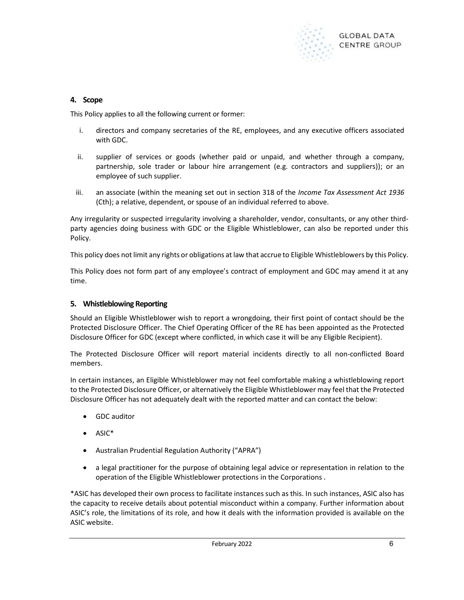

## 4. Scope

This Policy applies to all the following current or former:

- i. directors and company secretaries of the RE, employees, and any executive officers associated with GDC.
- ii. supplier of services or goods (whether paid or unpaid, and whether through a company, partnership, sole trader or labour hire arrangement (e.g. contractors and suppliers)); or an employee of such supplier.
- iii. an associate (within the meaning set out in section 318 of the Income Tax Assessment Act 1936 (Cth); a relative, dependent, or spouse of an individual referred to above.

Any irregularity or suspected irregularity involving a shareholder, vendor, consultants, or any other thirdparty agencies doing business with GDC or the Eligible Whistleblower, can also be reported under this Policy.

This policy does not limit any rights or obligations at law that accrue to Eligible Whistleblowers by this Policy.

This Policy does not form part of any employee's contract of employment and GDC may amend it at any time.

## 5. Whistleblowing Reporting

Should an Eligible Whistleblower wish to report a wrongdoing, their first point of contact should be the Protected Disclosure Officer. The Chief Operating Officer of the RE has been appointed as the Protected Disclosure Officer for GDC (except where conflicted, in which case it will be any Eligible Recipient).

The Protected Disclosure Officer will report material incidents directly to all non-conflicted Board members.

In certain instances, an Eligible Whistleblower may not feel comfortable making a whistleblowing report to the Protected Disclosure Officer, or alternatively the Eligible Whistleblower may feel that the Protected Disclosure Officer has not adequately dealt with the reported matter and can contact the below:

- GDC auditor
- $\bullet$  ASIC\*
- Australian Prudential Regulation Authority ("APRA")
- a legal practitioner for the purpose of obtaining legal advice or representation in relation to the operation of the Eligible Whistleblower protections in the Corporations .

\*ASIC has developed their own process to facilitate instances such as this. In such instances, ASIC also has the capacity to receive details about potential misconduct within a company. Further information about ASIC's role, the limitations of its role, and how it deals with the information provided is available on the ASIC website.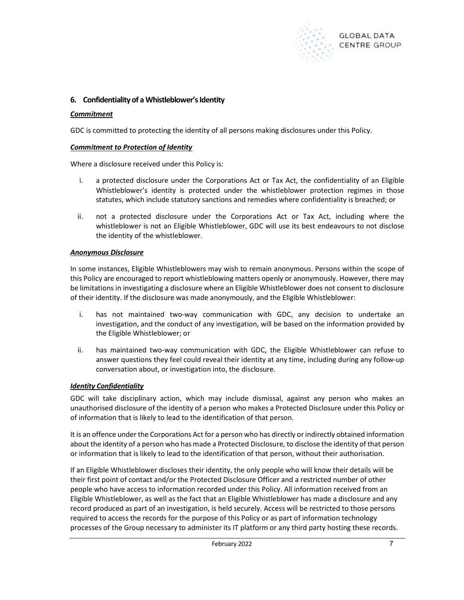

## 6. Confidentiality of a Whistleblower's Identity

#### **Commitment**

GDC is committed to protecting the identity of all persons making disclosures under this Policy.

#### Commitment to Protection of Identity

Where a disclosure received under this Policy is:

- i. a protected disclosure under the Corporations Act or Tax Act, the confidentiality of an Eligible Whistleblower's identity is protected under the whistleblower protection regimes in those statutes, which include statutory sanctions and remedies where confidentiality is breached; or
- ii. not a protected disclosure under the Corporations Act or Tax Act, including where the whistleblower is not an Eligible Whistleblower, GDC will use its best endeavours to not disclose the identity of the whistleblower.

#### Anonymous Disclosure

In some instances, Eligible Whistleblowers may wish to remain anonymous. Persons within the scope of this Policy are encouraged to report whistleblowing matters openly or anonymously. However, there may be limitations in investigating a disclosure where an Eligible Whistleblower does not consent to disclosure of their identity. If the disclosure was made anonymously, and the Eligible Whistleblower:

- i. has not maintained two-way communication with GDC, any decision to undertake an investigation, and the conduct of any investigation, will be based on the information provided by the Eligible Whistleblower; or
- ii. has maintained two-way communication with GDC, the Eligible Whistleblower can refuse to answer questions they feel could reveal their identity at any time, including during any follow-up conversation about, or investigation into, the disclosure.

## **Identity Confidentiality**

GDC will take disciplinary action, which may include dismissal, against any person who makes an unauthorised disclosure of the identity of a person who makes a Protected Disclosure under this Policy or of information that is likely to lead to the identification of that person.

It is an offence under the Corporations Act for a person who has directly or indirectly obtained information about the identity of a person who has made a Protected Disclosure, to disclose the identity of that person or information that is likely to lead to the identification of that person, without their authorisation.

If an Eligible Whistleblower discloses their identity, the only people who will know their details will be their first point of contact and/or the Protected Disclosure Officer and a restricted number of other people who have access to information recorded under this Policy. All information received from an Eligible Whistleblower, as well as the fact that an Eligible Whistleblower has made a disclosure and any record produced as part of an investigation, is held securely. Access will be restricted to those persons required to access the records for the purpose of this Policy or as part of information technology processes of the Group necessary to administer its IT platform or any third party hosting these records.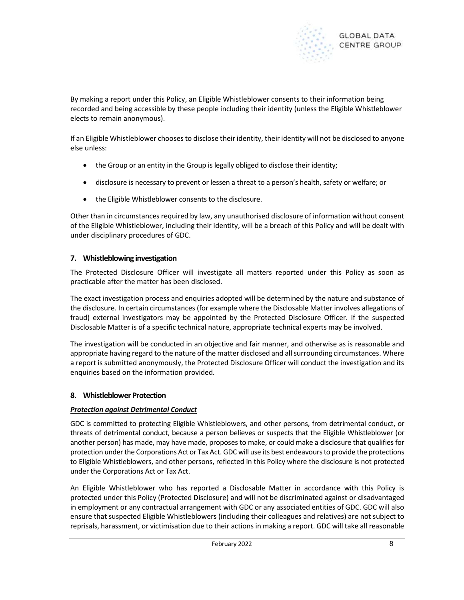

By making a report under this Policy, an Eligible Whistleblower consents to their information being recorded and being accessible by these people including their identity (unless the Eligible Whistleblower elects to remain anonymous).

If an Eligible Whistleblower chooses to disclose their identity, their identity will not be disclosed to anyone else unless:

- the Group or an entity in the Group is legally obliged to disclose their identity;
- disclosure is necessary to prevent or lessen a threat to a person's health, safety or welfare; or
- the Eligible Whistleblower consents to the disclosure.

Other than in circumstances required by law, any unauthorised disclosure of information without consent of the Eligible Whistleblower, including their identity, will be a breach of this Policy and will be dealt with under disciplinary procedures of GDC.

## 7. Whistleblowing investigation

The Protected Disclosure Officer will investigate all matters reported under this Policy as soon as practicable after the matter has been disclosed.

The exact investigation process and enquiries adopted will be determined by the nature and substance of the disclosure. In certain circumstances (for example where the Disclosable Matter involves allegations of fraud) external investigators may be appointed by the Protected Disclosure Officer. If the suspected Disclosable Matter is of a specific technical nature, appropriate technical experts may be involved.

The investigation will be conducted in an objective and fair manner, and otherwise as is reasonable and appropriate having regard to the nature of the matter disclosed and all surrounding circumstances. Where a report is submitted anonymously, the Protected Disclosure Officer will conduct the investigation and its enquiries based on the information provided.

# 8. Whistleblower Protection

## Protection against Detrimental Conduct

GDC is committed to protecting Eligible Whistleblowers, and other persons, from detrimental conduct, or threats of detrimental conduct, because a person believes or suspects that the Eligible Whistleblower (or another person) has made, may have made, proposes to make, or could make a disclosure that qualifies for protection under the Corporations Act or Tax Act. GDC will use its best endeavours to provide the protections to Eligible Whistleblowers, and other persons, reflected in this Policy where the disclosure is not protected under the Corporations Act or Tax Act.

An Eligible Whistleblower who has reported a Disclosable Matter in accordance with this Policy is protected under this Policy (Protected Disclosure) and will not be discriminated against or disadvantaged in employment or any contractual arrangement with GDC or any associated entities of GDC. GDC will also ensure that suspected Eligible Whistleblowers (including their colleagues and relatives) are not subject to reprisals, harassment, or victimisation due to their actions in making a report. GDC will take all reasonable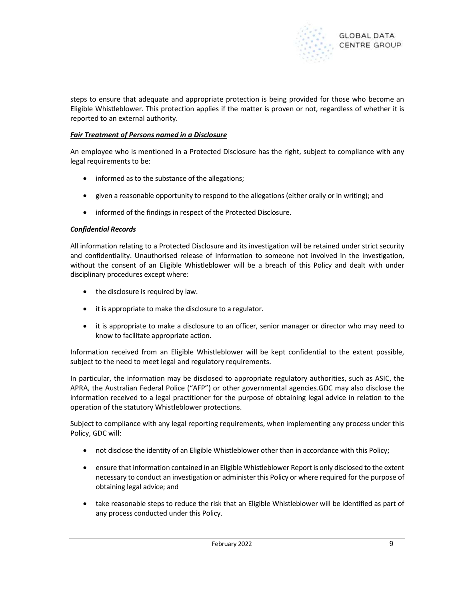

steps to ensure that adequate and appropriate protection is being provided for those who become an Eligible Whistleblower. This protection applies if the matter is proven or not, regardless of whether it is reported to an external authority.

#### Fair Treatment of Persons named in a Disclosure

An employee who is mentioned in a Protected Disclosure has the right, subject to compliance with any legal requirements to be:

- informed as to the substance of the allegations;
- given a reasonable opportunity to respond to the allegations (either orally or in writing); and
- informed of the findings in respect of the Protected Disclosure.

#### Confidential Records

All information relating to a Protected Disclosure and its investigation will be retained under strict security and confidentiality. Unauthorised release of information to someone not involved in the investigation, without the consent of an Eligible Whistleblower will be a breach of this Policy and dealt with under disciplinary procedures except where:

- the disclosure is required by law.
- it is appropriate to make the disclosure to a regulator.
- it is appropriate to make a disclosure to an officer, senior manager or director who may need to know to facilitate appropriate action.

Information received from an Eligible Whistleblower will be kept confidential to the extent possible, subject to the need to meet legal and regulatory requirements.

In particular, the information may be disclosed to appropriate regulatory authorities, such as ASIC, the APRA, the Australian Federal Police ("AFP") or other governmental agencies.GDC may also disclose the information received to a legal practitioner for the purpose of obtaining legal advice in relation to the operation of the statutory Whistleblower protections.

Subject to compliance with any legal reporting requirements, when implementing any process under this Policy, GDC will:

- not disclose the identity of an Eligible Whistleblower other than in accordance with this Policy;
- ensure that information contained in an Eligible Whistleblower Report is only disclosed to the extent necessary to conduct an investigation or administer this Policy or where required for the purpose of obtaining legal advice; and
- take reasonable steps to reduce the risk that an Eligible Whistleblower will be identified as part of any process conducted under this Policy.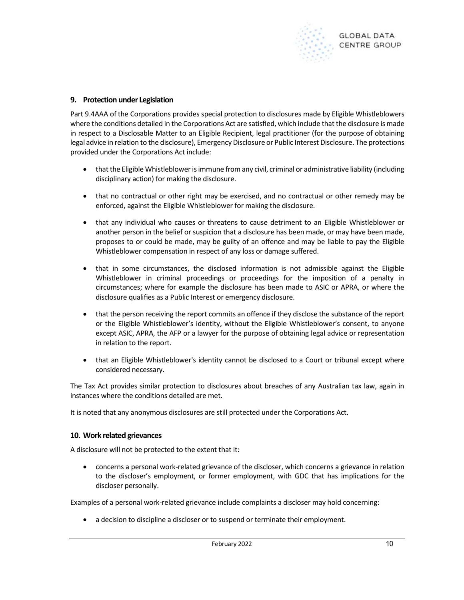

## 9. Protection under Legislation

Part 9.4AAA of the Corporations provides special protection to disclosures made by Eligible Whistleblowers where the conditions detailed in the Corporations Act are satisfied, which include that the disclosure is made in respect to a Disclosable Matter to an Eligible Recipient, legal practitioner (for the purpose of obtaining legal advice in relation to the disclosure), Emergency Disclosure or Public Interest Disclosure. The protections provided under the Corporations Act include:

- that the Eligible Whistleblower is immune from any civil, criminal or administrative liability (including disciplinary action) for making the disclosure.
- that no contractual or other right may be exercised, and no contractual or other remedy may be enforced, against the Eligible Whistleblower for making the disclosure.
- that any individual who causes or threatens to cause detriment to an Eligible Whistleblower or another person in the belief or suspicion that a disclosure has been made, or may have been made, proposes to or could be made, may be guilty of an offence and may be liable to pay the Eligible Whistleblower compensation in respect of any loss or damage suffered.
- that in some circumstances, the disclosed information is not admissible against the Eligible Whistleblower in criminal proceedings or proceedings for the imposition of a penalty in circumstances; where for example the disclosure has been made to ASIC or APRA, or where the disclosure qualifies as a Public Interest or emergency disclosure.
- that the person receiving the report commits an offence if they disclose the substance of the report or the Eligible Whistleblower's identity, without the Eligible Whistleblower's consent, to anyone except ASIC, APRA, the AFP or a lawyer for the purpose of obtaining legal advice or representation in relation to the report.
- that an Eligible Whistleblower's identity cannot be disclosed to a Court or tribunal except where considered necessary.

The Tax Act provides similar protection to disclosures about breaches of any Australian tax law, again in instances where the conditions detailed are met.

It is noted that any anonymous disclosures are still protected under the Corporations Act.

## 10. Work related grievances

A disclosure will not be protected to the extent that it:

 concerns a personal work-related grievance of the discloser, which concerns a grievance in relation to the discloser's employment, or former employment, with GDC that has implications for the discloser personally.

Examples of a personal work-related grievance include complaints a discloser may hold concerning:

a decision to discipline a discloser or to suspend or terminate their employment.